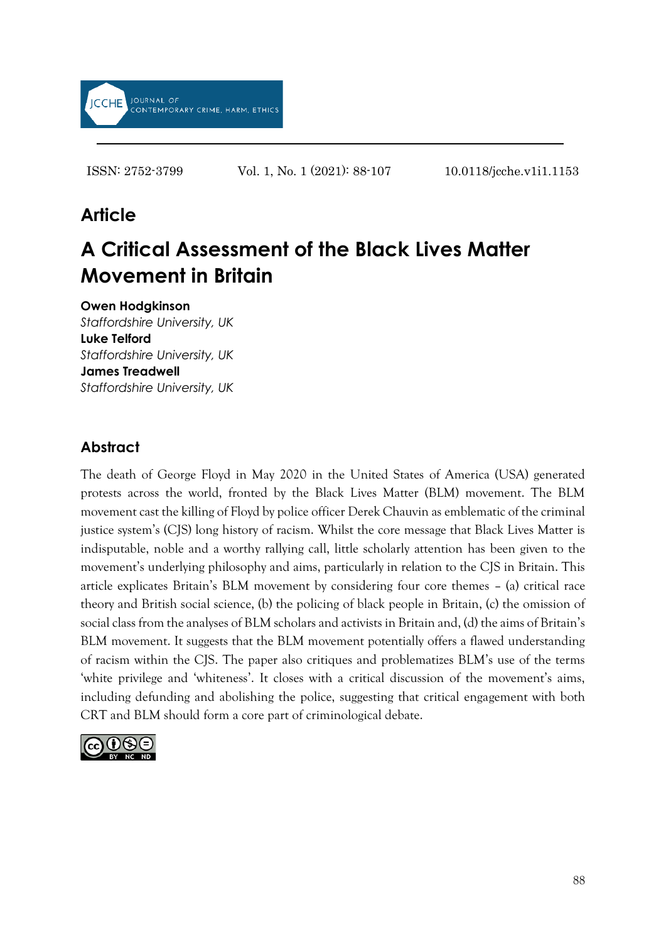

ISSN: 2752-3799 Vol. 1, No. 1 (2021): 88-107 10.0118/jcche.v1i1.1153

# **Article**

# **A Critical Assessment of the Black Lives Matter Movement in Britain**

**Owen Hodgkinson** *Staffordshire University, UK*

**Luke Telford** *Staffordshire University, UK* **James Treadwell** *Staffordshire University, UK*

### **Abstract**

The death of George Floyd in May 2020 in the United States of America (USA) generated protests across the world, fronted by the Black Lives Matter (BLM) movement. The BLM movement cast the killing of Floyd by police officer Derek Chauvin as emblematic of the criminal justice system's (CJS) long history of racism. Whilst the core message that Black Lives Matter is indisputable, noble and a worthy rallying call, little scholarly attention has been given to the movement's underlying philosophy and aims, particularly in relation to the CJS in Britain. This article explicates Britain's BLM movement by considering four core themes – (a) critical race theory and British social science, (b) the policing of black people in Britain, (c) the omission of social class from the analyses of BLM scholars and activists in Britain and, (d) the aims of Britain's BLM movement. It suggests that the BLM movement potentially offers a flawed understanding of racism within the CJS. The paper also critiques and problematizes BLM's use of the terms 'white privilege and 'whiteness'. It closes with a critical discussion of the movement's aims, including defunding and abolishing the police, suggesting that critical engagement with both CRT and BLM should form a core part of criminological debate.

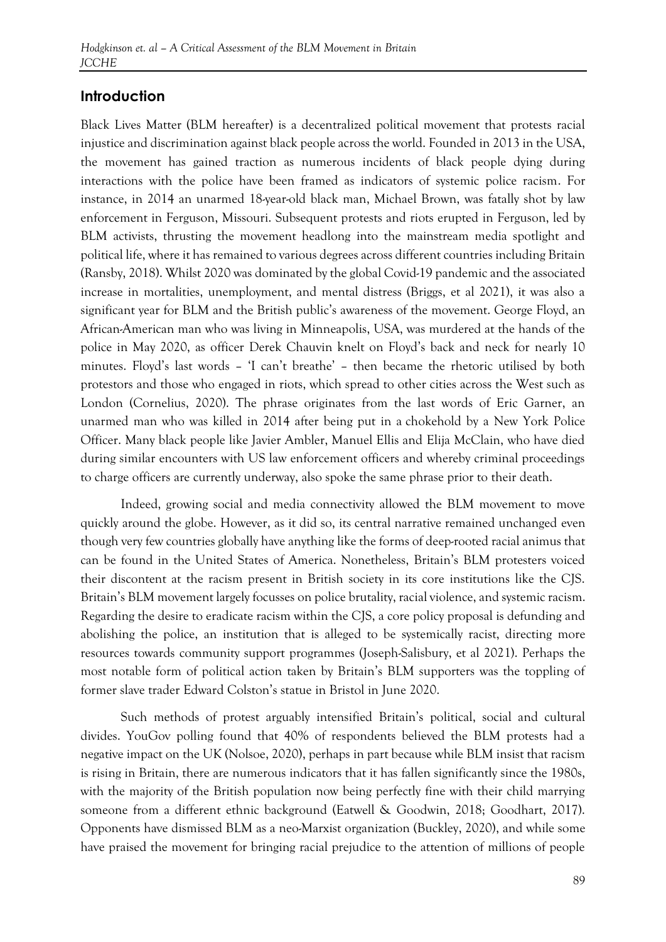#### **Introduction**

Black Lives Matter (BLM hereafter) is a decentralized political movement that protests racial injustice and discrimination against black people across the world. Founded in 2013 in the USA, the movement has gained traction as numerous incidents of black people dying during interactions with the police have been framed as indicators of systemic police racism. For instance, in 2014 an unarmed 18-year-old black man, Michael Brown, was fatally shot by law enforcement in Ferguson, Missouri. Subsequent protests and riots erupted in Ferguson, led by BLM activists, thrusting the movement headlong into the mainstream media spotlight and political life, where it has remained to various degrees across different countries including Britain (Ransby, 2018). Whilst 2020 was dominated by the global Covid-19 pandemic and the associated increase in mortalities, unemployment, and mental distress (Briggs, et al 2021), it was also a significant year for BLM and the British public's awareness of the movement. George Floyd, an African-American man who was living in Minneapolis, USA, was murdered at the hands of the police in May 2020, as officer Derek Chauvin knelt on Floyd's back and neck for nearly 10 minutes. Floyd's last words – 'I can't breathe' – then became the rhetoric utilised by both protestors and those who engaged in riots, which spread to other cities across the West such as London (Cornelius, 2020). The phrase originates from the last words of Eric Garner, an unarmed man who was killed in 2014 after being put in a chokehold by a New York Police Officer. Many black people like Javier Ambler, Manuel Ellis and Elija McClain, who have died during similar encounters with US law enforcement officers and whereby criminal proceedings to charge officers are currently underway, also spoke the same phrase prior to their death.

Indeed, growing social and media connectivity allowed the BLM movement to move quickly around the globe. However, as it did so, its central narrative remained unchanged even though very few countries globally have anything like the forms of deep-rooted racial animus that can be found in the United States of America. Nonetheless, Britain's BLM protesters voiced their discontent at the racism present in British society in its core institutions like the CJS. Britain's BLM movement largely focusses on police brutality, racial violence, and systemic racism. Regarding the desire to eradicate racism within the CJS, a core policy proposal is defunding and abolishing the police, an institution that is alleged to be systemically racist, directing more resources towards community support programmes (Joseph-Salisbury, et al 2021). Perhaps the most notable form of political action taken by Britain's BLM supporters was the toppling of former slave trader Edward Colston's statue in Bristol in June 2020.

Such methods of protest arguably intensified Britain's political, social and cultural divides. YouGov polling found that 40% of respondents believed the BLM protests had a negative impact on the UK (Nolsoe, 2020), perhaps in part because while BLM insist that racism is rising in Britain, there are numerous indicators that it has fallen significantly since the 1980s, with the majority of the British population now being perfectly fine with their child marrying someone from a different ethnic background (Eatwell & Goodwin, 2018; Goodhart, 2017). Opponents have dismissed BLM as a neo-Marxist organization (Buckley, 2020), and while some have praised the movement for bringing racial prejudice to the attention of millions of people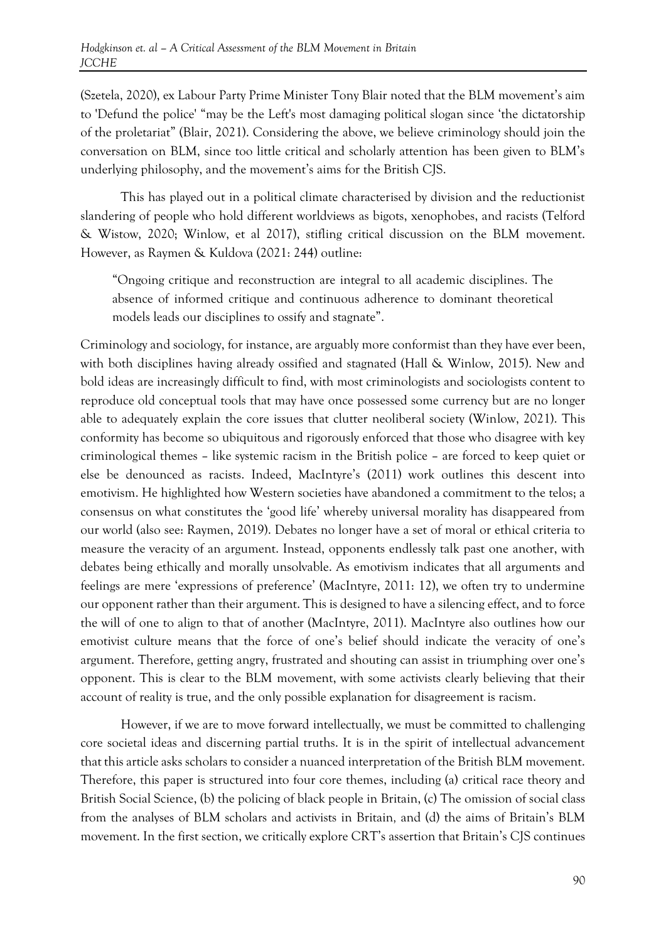(Szetela, 2020), ex Labour Party Prime Minister Tony Blair noted that the BLM movement's aim to 'Defund the police' "may be the Left's most damaging political slogan since 'the dictatorship of the proletariat" (Blair, 2021). Considering the above, we believe criminology should join the conversation on BLM, since too little critical and scholarly attention has been given to BLM's underlying philosophy, and the movement's aims for the British CJS.

This has played out in a political climate characterised by division and the reductionist slandering of people who hold different worldviews as bigots, xenophobes, and racists (Telford & Wistow, 2020; Winlow, et al 2017), stifling critical discussion on the BLM movement. However, as Raymen & Kuldova (2021: 244) outline:

"Ongoing critique and reconstruction are integral to all academic disciplines. The absence of informed critique and continuous adherence to dominant theoretical models leads our disciplines to ossify and stagnate".

Criminology and sociology, for instance, are arguably more conformist than they have ever been, with both disciplines having already ossified and stagnated (Hall & Winlow, 2015). New and bold ideas are increasingly difficult to find, with most criminologists and sociologists content to reproduce old conceptual tools that may have once possessed some currency but are no longer able to adequately explain the core issues that clutter neoliberal society (Winlow, 2021). This conformity has become so ubiquitous and rigorously enforced that those who disagree with key criminological themes – like systemic racism in the British police – are forced to keep quiet or else be denounced as racists. Indeed, MacIntyre's (2011) work outlines this descent into emotivism. He highlighted how Western societies have abandoned a commitment to the telos; a consensus on what constitutes the 'good life' whereby universal morality has disappeared from our world (also see: Raymen, 2019). Debates no longer have a set of moral or ethical criteria to measure the veracity of an argument. Instead, opponents endlessly talk past one another, with debates being ethically and morally unsolvable. As emotivism indicates that all arguments and feelings are mere 'expressions of preference' (MacIntyre, 2011: 12), we often try to undermine our opponent rather than their argument. This is designed to have a silencing effect, and to force the will of one to align to that of another (MacIntyre, 2011). MacIntyre also outlines how our emotivist culture means that the force of one's belief should indicate the veracity of one's argument. Therefore, getting angry, frustrated and shouting can assist in triumphing over one's opponent. This is clear to the BLM movement, with some activists clearly believing that their account of reality is true, and the only possible explanation for disagreement is racism.

However, if we are to move forward intellectually, we must be committed to challenging core societal ideas and discerning partial truths. It is in the spirit of intellectual advancement that this article asks scholars to consider a nuanced interpretation of the British BLM movement. Therefore, this paper is structured into four core themes, including (a) critical race theory and British Social Science, (b) the policing of black people in Britain, (c) The omission of social class from the analyses of BLM scholars and activists in Britain*,* and (d) the aims of Britain's BLM movement. In the first section, we critically explore CRT's assertion that Britain's CJS continues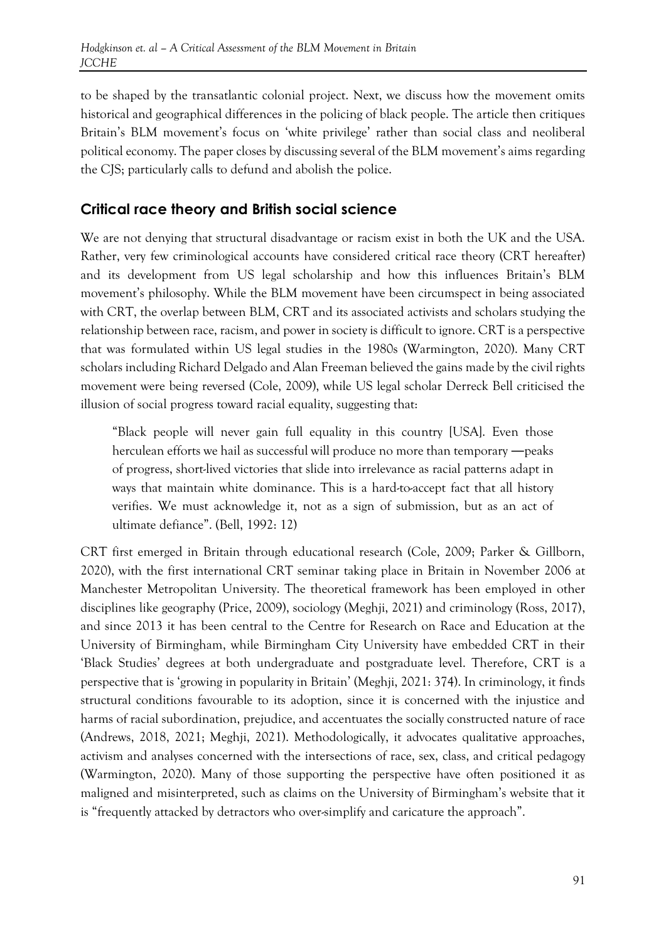to be shaped by the transatlantic colonial project. Next, we discuss how the movement omits historical and geographical differences in the policing of black people. The article then critiques Britain's BLM movement's focus on 'white privilege' rather than social class and neoliberal political economy. The paper closes by discussing several of the BLM movement's aims regarding the CJS; particularly calls to defund and abolish the police.

#### **Critical race theory and British social science**

We are not denying that structural disadvantage or racism exist in both the UK and the USA. Rather, very few criminological accounts have considered critical race theory (CRT hereafter) and its development from US legal scholarship and how this influences Britain's BLM movement's philosophy. While the BLM movement have been circumspect in being associated with CRT, the overlap between BLM, CRT and its associated activists and scholars studying the relationship between race, racism, and power in society is difficult to ignore. CRT is a perspective that was formulated within US legal studies in the 1980s (Warmington, 2020). Many CRT scholars including Richard Delgado and Alan Freeman believed the gains made by the civil rights movement were being reversed (Cole, 2009), while US legal scholar Derreck Bell criticised the illusion of social progress toward racial equality, suggesting that:

"Black people will never gain full equality in this country [USA]. Even those herculean efforts we hail as successful will produce no more than temporary ―peaks of progress, short-lived victories that slide into irrelevance as racial patterns adapt in ways that maintain white dominance. This is a hard-to-accept fact that all history verifies. We must acknowledge it, not as a sign of submission, but as an act of ultimate defiance". (Bell, 1992: 12)

CRT first emerged in Britain through educational research (Cole, 2009; Parker & Gillborn, 2020), with the first international CRT seminar taking place in Britain in November 2006 at Manchester Metropolitan University. The theoretical framework has been employed in other disciplines like geography (Price, 2009), sociology (Meghji, 2021) and criminology (Ross, 2017), and since 2013 it has been central to the Centre for Research on Race and Education at the University of Birmingham, while Birmingham City University have embedded CRT in their 'Black Studies' degrees at both undergraduate and postgraduate level. Therefore, CRT is a perspective that is 'growing in popularity in Britain' (Meghji, 2021: 374). In criminology, it finds structural conditions favourable to its adoption, since it is concerned with the injustice and harms of racial subordination, prejudice, and accentuates the socially constructed nature of race (Andrews, 2018, 2021; Meghji, 2021). Methodologically, it advocates qualitative approaches, activism and analyses concerned with the intersections of race, sex, class, and critical pedagogy (Warmington, 2020). Many of those supporting the perspective have often positioned it as maligned and misinterpreted, such as claims on the University of Birmingham's website that it is "frequently attacked by detractors who over-simplify and caricature the approach".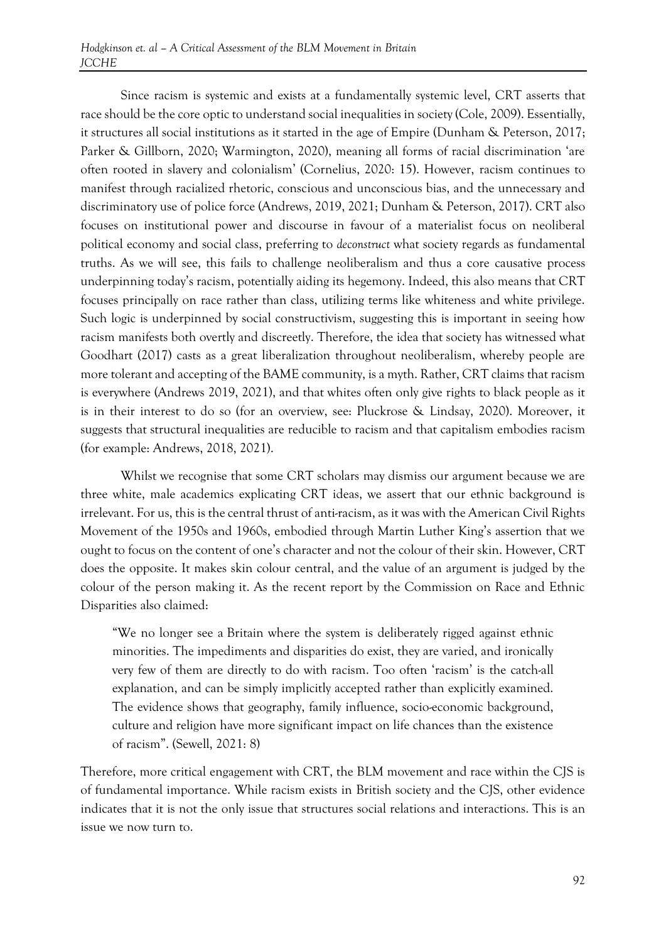Since racism is systemic and exists at a fundamentally systemic level, CRT asserts that race should be the core optic to understand social inequalities in society (Cole, 2009). Essentially, it structures all social institutions as it started in the age of Empire (Dunham & Peterson, 2017; Parker & Gillborn, 2020; Warmington, 2020), meaning all forms of racial discrimination 'are often rooted in slavery and colonialism' (Cornelius, 2020: 15). However, racism continues to manifest through racialized rhetoric, conscious and unconscious bias, and the unnecessary and discriminatory use of police force (Andrews, 2019, 2021; Dunham & Peterson, 2017). CRT also focuses on institutional power and discourse in favour of a materialist focus on neoliberal political economy and social class, preferring to *deconstruct* what society regards as fundamental truths. As we will see, this fails to challenge neoliberalism and thus a core causative process underpinning today's racism, potentially aiding its hegemony. Indeed, this also means that CRT focuses principally on race rather than class, utilizing terms like whiteness and white privilege. Such logic is underpinned by social constructivism, suggesting this is important in seeing how racism manifests both overtly and discreetly. Therefore, the idea that society has witnessed what Goodhart (2017) casts as a great liberalization throughout neoliberalism, whereby people are more tolerant and accepting of the BAME community, is a myth. Rather, CRT claims that racism is everywhere (Andrews 2019, 2021), and that whites often only give rights to black people as it is in their interest to do so (for an overview, see: Pluckrose & Lindsay, 2020). Moreover, it suggests that structural inequalities are reducible to racism and that capitalism embodies racism (for example: Andrews, 2018, 2021).

Whilst we recognise that some CRT scholars may dismiss our argument because we are three white, male academics explicating CRT ideas, we assert that our ethnic background is irrelevant. For us, this is the central thrust of anti-racism, as it was with the American Civil Rights Movement of the 1950s and 1960s, embodied through Martin Luther King's assertion that we ought to focus on the content of one's character and not the colour of their skin. However, CRT does the opposite. It makes skin colour central, and the value of an argument is judged by the colour of the person making it. As the recent report by the Commission on Race and Ethnic Disparities also claimed:

"We no longer see a Britain where the system is deliberately rigged against ethnic minorities. The impediments and disparities do exist, they are varied, and ironically very few of them are directly to do with racism. Too often 'racism' is the catch-all explanation, and can be simply implicitly accepted rather than explicitly examined. The evidence shows that geography, family influence, socio-economic background, culture and religion have more significant impact on life chances than the existence of racism". (Sewell, 2021: 8)

Therefore, more critical engagement with CRT, the BLM movement and race within the CJS is of fundamental importance. While racism exists in British society and the CJS, other evidence indicates that it is not the only issue that structures social relations and interactions. This is an issue we now turn to.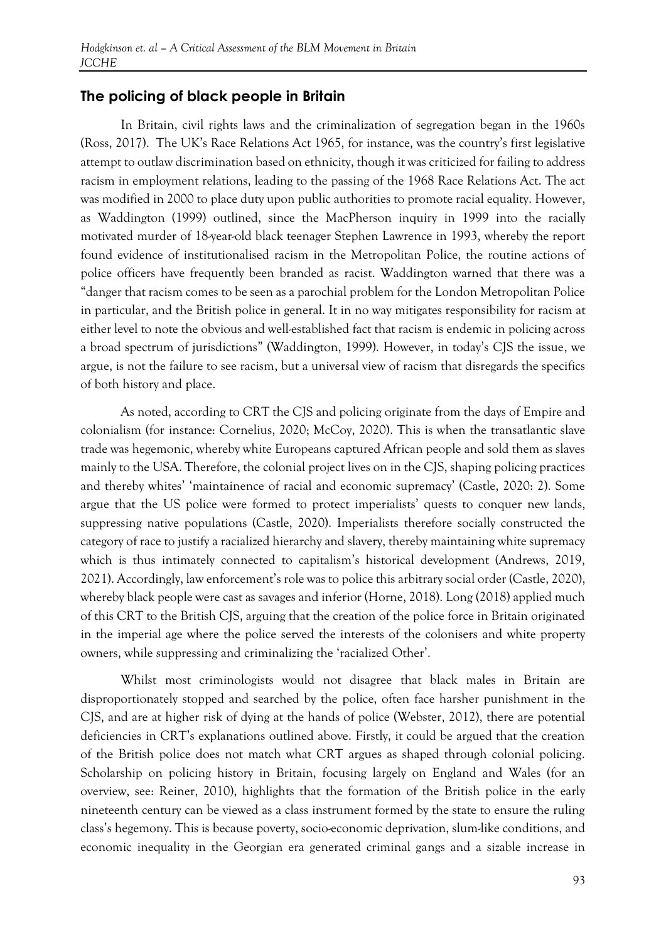#### **The policing of black people in Britain**

In Britain, civil rights laws and the criminalization of segregation began in the 1960s (Ross, 2017). The UK's Race Relations Act 1965, for instance, was the country's first legislative attempt to outlaw discrimination based on ethnicity, though it was criticized for failing to address racism in employment relations, leading to the passing of the 1968 Race Relations Act. The act was modified in 2000 to place duty upon public authorities to promote racial equality. However, as Waddington (1999) outlined, since the MacPherson inquiry in 1999 into the racially motivated murder of 18-year-old black teenager Stephen Lawrence in 1993, whereby the report found evidence of institutionalised racism in the Metropolitan Police, the routine actions of police officers have frequently been branded as racist. Waddington warned that there was a "danger that racism comes to be seen as a parochial problem for the London Metropolitan Police in particular, and the British police in general. It in no way mitigates responsibility for racism at either level to note the obvious and well-established fact that racism is endemic in policing across a broad spectrum of jurisdictions" (Waddington, 1999). However, in today's CJS the issue, we argue, is not the failure to see racism, but a universal view of racism that disregards the specifics of both history and place.

As noted, according to CRT the CJS and policing originate from the days of Empire and colonialism (for instance: Cornelius, 2020; McCoy, 2020). This is when the transatlantic slave trade was hegemonic, whereby white Europeans captured African people and sold them as slaves mainly to the USA. Therefore, the colonial project lives on in the CJS, shaping policing practices and thereby whites' 'maintainence of racial and economic supremacy' (Castle, 2020: 2). Some argue that the US police were formed to protect imperialists' quests to conquer new lands, suppressing native populations (Castle, 2020). Imperialists therefore socially constructed the category of race to justify a racialized hierarchy and slavery, thereby maintaining white supremacy which is thus intimately connected to capitalism's historical development (Andrews, 2019, 2021). Accordingly, law enforcement's role was to police this arbitrary social order (Castle, 2020), whereby black people were cast as savages and inferior (Horne, 2018). Long (2018) applied much of this CRT to the British CJS, arguing that the creation of the police force in Britain originated in the imperial age where the police served the interests of the colonisers and white property owners, while suppressing and criminalizing the 'racialized Other'.

Whilst most criminologists would not disagree that black males in Britain are disproportionately stopped and searched by the police, often face harsher punishment in the CJS, and are at higher risk of dying at the hands of police (Webster, 2012), there are potential deficiencies in CRT's explanations outlined above. Firstly, it could be argued that the creation of the British police does not match what CRT argues as shaped through colonial policing. Scholarship on policing history in Britain, focusing largely on England and Wales (for an overview, see: Reiner, 2010), highlights that the formation of the British police in the early nineteenth century can be viewed as a class instrument formed by the state to ensure the ruling class's hegemony. This is because poverty, socio-economic deprivation, slum-like conditions, and economic inequality in the Georgian era generated criminal gangs and a sizable increase in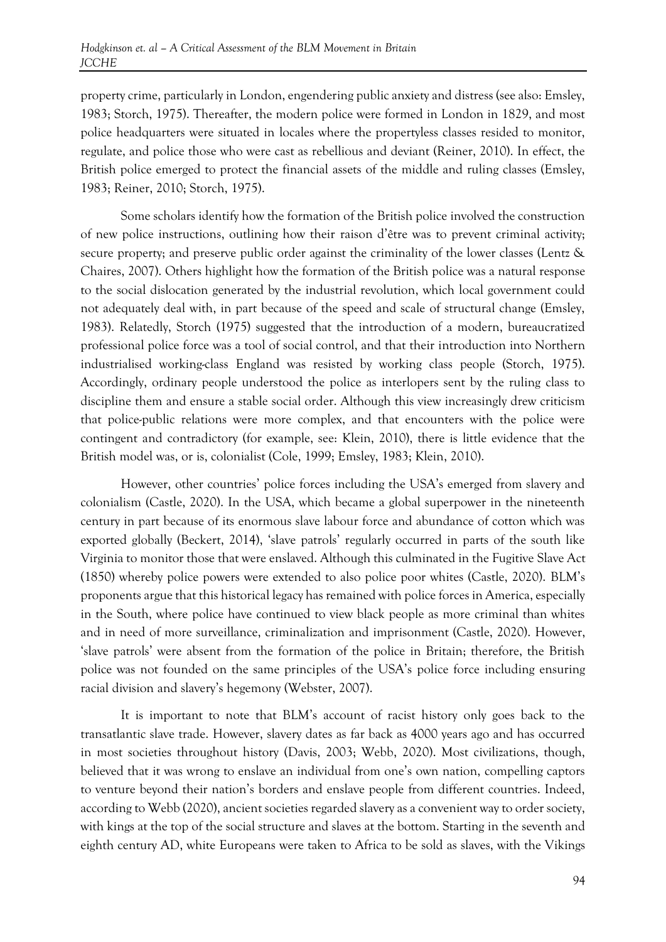property crime, particularly in London, engendering public anxiety and distress (see also: Emsley, 1983; Storch, 1975). Thereafter, the modern police were formed in London in 1829, and most police headquarters were situated in locales where the propertyless classes resided to monitor, regulate, and police those who were cast as rebellious and deviant (Reiner, 2010). In effect, the British police emerged to protect the financial assets of the middle and ruling classes (Emsley, 1983; Reiner, 2010; Storch, 1975).

Some scholars identify how the formation of the British police involved the construction of new police instructions, outlining how their raison d'être was to prevent criminal activity; secure property; and preserve public order against the criminality of the lower classes (Lentz & Chaires, 2007). Others highlight how the formation of the British police was a natural response to the social dislocation generated by the industrial revolution, which local government could not adequately deal with, in part because of the speed and scale of structural change (Emsley, 1983). Relatedly, Storch (1975) suggested that the introduction of a modern, bureaucratized professional police force was a tool of social control, and that their introduction into Northern industrialised working-class England was resisted by working class people (Storch, 1975). Accordingly, ordinary people understood the police as interlopers sent by the ruling class to discipline them and ensure a stable social order. Although this view increasingly drew criticism that police-public relations were more complex, and that encounters with the police were contingent and contradictory (for example, see: Klein, 2010), there is little evidence that the British model was, or is, colonialist (Cole, 1999; Emsley, 1983; Klein, 2010).

However, other countries' police forces including the USA's emerged from slavery and colonialism (Castle, 2020). In the USA, which became a global superpower in the nineteenth century in part because of its enormous slave labour force and abundance of cotton which was exported globally (Beckert, 2014), 'slave patrols' regularly occurred in parts of the south like Virginia to monitor those that were enslaved. Although this culminated in the Fugitive Slave Act (1850) whereby police powers were extended to also police poor whites (Castle, 2020). BLM's proponents argue that this historical legacy has remained with police forces in America, especially in the South, where police have continued to view black people as more criminal than whites and in need of more surveillance, criminalization and imprisonment (Castle, 2020). However, 'slave patrols' were absent from the formation of the police in Britain; therefore, the British police was not founded on the same principles of the USA's police force including ensuring racial division and slavery's hegemony (Webster, 2007).

It is important to note that BLM's account of racist history only goes back to the transatlantic slave trade. However, slavery dates as far back as 4000 years ago and has occurred in most societies throughout history (Davis, 2003; Webb, 2020). Most civilizations, though, believed that it was wrong to enslave an individual from one's own nation, compelling captors to venture beyond their nation's borders and enslave people from different countries. Indeed, according to Webb (2020), ancient societies regarded slavery as a convenient way to order society, with kings at the top of the social structure and slaves at the bottom. Starting in the seventh and eighth century AD, white Europeans were taken to Africa to be sold as slaves, with the Vikings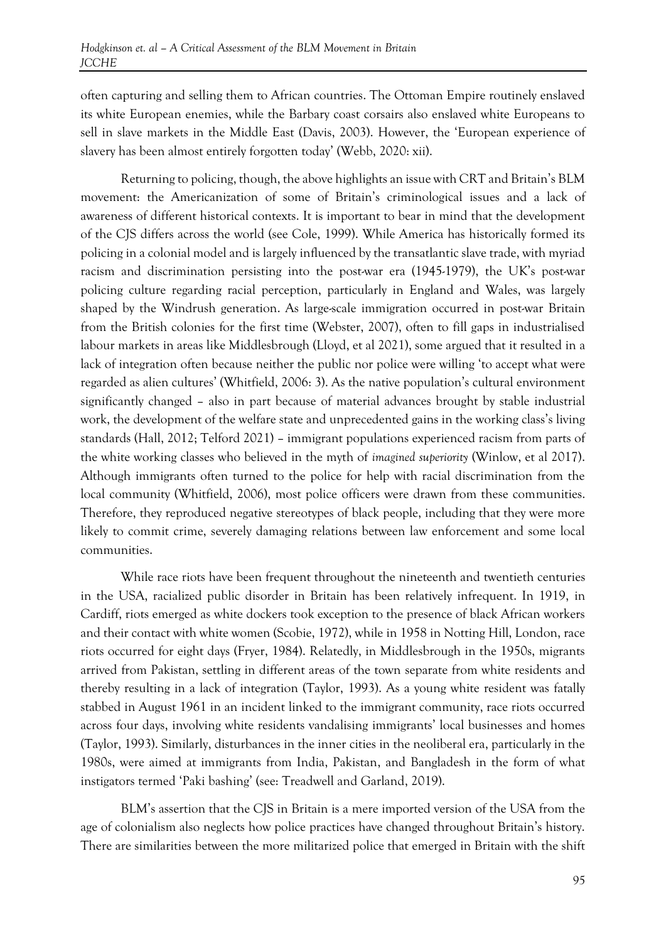often capturing and selling them to African countries. The Ottoman Empire routinely enslaved its white European enemies, while the Barbary coast corsairs also enslaved white Europeans to sell in slave markets in the Middle East (Davis, 2003). However, the 'European experience of slavery has been almost entirely forgotten today' (Webb, 2020: xii).

Returning to policing, though, the above highlights an issue with CRT and Britain's BLM movement: the Americanization of some of Britain's criminological issues and a lack of awareness of different historical contexts. It is important to bear in mind that the development of the CJS differs across the world (see Cole, 1999). While America has historically formed its policing in a colonial model and is largely influenced by the transatlantic slave trade, with myriad racism and discrimination persisting into the post-war era (1945-1979), the UK's post-war policing culture regarding racial perception, particularly in England and Wales, was largely shaped by the Windrush generation. As large-scale immigration occurred in post-war Britain from the British colonies for the first time (Webster, 2007), often to fill gaps in industrialised labour markets in areas like Middlesbrough (Lloyd, et al 2021), some argued that it resulted in a lack of integration often because neither the public nor police were willing 'to accept what were regarded as alien cultures' (Whitfield, 2006: 3). As the native population's cultural environment significantly changed – also in part because of material advances brought by stable industrial work, the development of the welfare state and unprecedented gains in the working class's living standards (Hall, 2012; Telford 2021) – immigrant populations experienced racism from parts of the white working classes who believed in the myth of *imagined superiority* (Winlow, et al 2017). Although immigrants often turned to the police for help with racial discrimination from the local community (Whitfield, 2006), most police officers were drawn from these communities. Therefore, they reproduced negative stereotypes of black people, including that they were more likely to commit crime, severely damaging relations between law enforcement and some local communities.

While race riots have been frequent throughout the nineteenth and twentieth centuries in the USA, racialized public disorder in Britain has been relatively infrequent. In 1919, in Cardiff, riots emerged as white dockers took exception to the presence of black African workers and their contact with white women (Scobie, 1972), while in 1958 in Notting Hill, London, race riots occurred for eight days (Fryer, 1984). Relatedly, in Middlesbrough in the 1950s, migrants arrived from Pakistan, settling in different areas of the town separate from white residents and thereby resulting in a lack of integration (Taylor, 1993). As a young white resident was fatally stabbed in August 1961 in an incident linked to the immigrant community, race riots occurred across four days, involving white residents vandalising immigrants' local businesses and homes (Taylor, 1993). Similarly, disturbances in the inner cities in the neoliberal era, particularly in the 1980s, were aimed at immigrants from India, Pakistan, and Bangladesh in the form of what instigators termed 'Paki bashing' (see: Treadwell and Garland, 2019).

BLM's assertion that the CJS in Britain is a mere imported version of the USA from the age of colonialism also neglects how police practices have changed throughout Britain's history. There are similarities between the more militarized police that emerged in Britain with the shift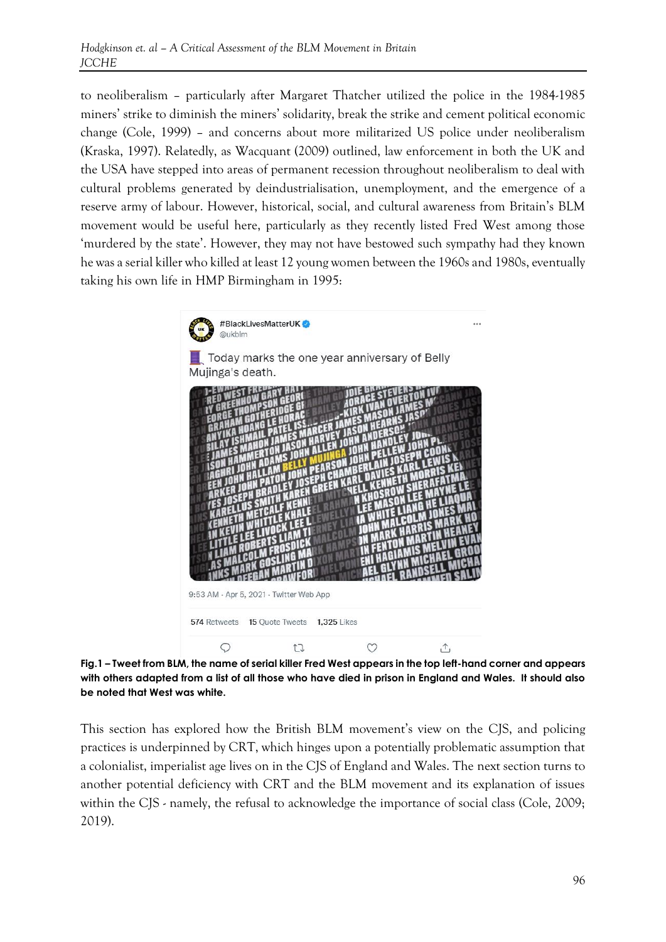to neoliberalism – particularly after Margaret Thatcher utilized the police in the 1984-1985 miners' strike to diminish the miners' solidarity, break the strike and cement political economic change (Cole, 1999) – and concerns about more militarized US police under neoliberalism (Kraska, 1997). Relatedly, as Wacquant (2009) outlined, law enforcement in both the UK and the USA have stepped into areas of permanent recession throughout neoliberalism to deal with cultural problems generated by deindustrialisation, unemployment, and the emergence of a reserve army of labour. However, historical, social, and cultural awareness from Britain's BLM movement would be useful here, particularly as they recently listed Fred West among those 'murdered by the state'. However, they may not have bestowed such sympathy had they known he was a serial killer who killed at least 12 young women between the 1960s and 1980s, eventually taking his own life in HMP Birmingham in 1995:



**Fig.1 – Tweet from BLM, the name of serial killer Fred West appears in the top left-hand corner and appears with others adapted from a list of all those who have died in prison in England and Wales. It should also be noted that West was white.**

This section has explored how the British BLM movement's view on the CJS, and policing practices is underpinned by CRT, which hinges upon a potentially problematic assumption that a colonialist, imperialist age lives on in the CJS of England and Wales. The next section turns to another potential deficiency with CRT and the BLM movement and its explanation of issues within the CJS - namely, the refusal to acknowledge the importance of social class (Cole, 2009; 2019).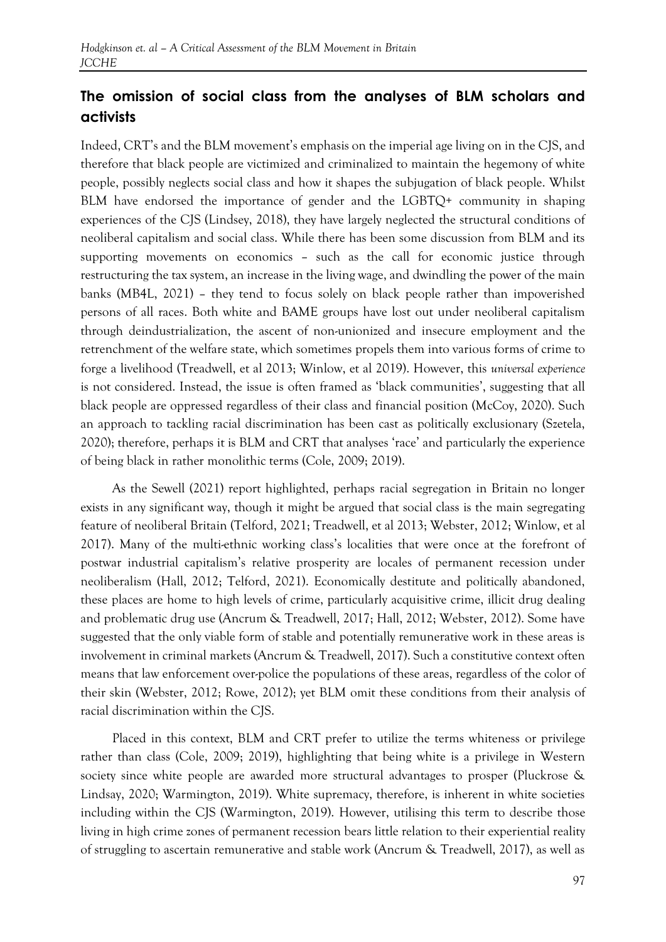## **The omission of social class from the analyses of BLM scholars and activists**

Indeed, CRT's and the BLM movement's emphasis on the imperial age living on in the CJS, and therefore that black people are victimized and criminalized to maintain the hegemony of white people, possibly neglects social class and how it shapes the subjugation of black people. Whilst BLM have endorsed the importance of gender and the LGBTQ+ community in shaping experiences of the CJS (Lindsey, 2018), they have largely neglected the structural conditions of neoliberal capitalism and social class. While there has been some discussion from BLM and its supporting movements on economics – such as the call for economic justice through restructuring the tax system, an increase in the living wage, and dwindling the power of the main banks (MB4L, 2021) – they tend to focus solely on black people rather than impoverished persons of all races. Both white and BAME groups have lost out under neoliberal capitalism through deindustrialization, the ascent of non-unionized and insecure employment and the retrenchment of the welfare state, which sometimes propels them into various forms of crime to forge a livelihood (Treadwell, et al 2013; Winlow, et al 2019). However, this *universal experience* is not considered. Instead, the issue is often framed as 'black communities', suggesting that all black people are oppressed regardless of their class and financial position (McCoy, 2020). Such an approach to tackling racial discrimination has been cast as politically exclusionary (Szetela, 2020); therefore, perhaps it is BLM and CRT that analyses 'race' and particularly the experience of being black in rather monolithic terms (Cole, 2009; 2019).

As the Sewell (2021) report highlighted, perhaps racial segregation in Britain no longer exists in any significant way, though it might be argued that social class is the main segregating feature of neoliberal Britain (Telford, 2021; Treadwell, et al 2013; Webster, 2012; Winlow, et al 2017). Many of the multi-ethnic working class's localities that were once at the forefront of postwar industrial capitalism's relative prosperity are locales of permanent recession under neoliberalism (Hall, 2012; Telford, 2021). Economically destitute and politically abandoned, these places are home to high levels of crime, particularly acquisitive crime, illicit drug dealing and problematic drug use (Ancrum & Treadwell, 2017; Hall, 2012; Webster, 2012). Some have suggested that the only viable form of stable and potentially remunerative work in these areas is involvement in criminal markets (Ancrum & Treadwell, 2017). Such a constitutive context often means that law enforcement over-police the populations of these areas, regardless of the color of their skin (Webster, 2012; Rowe, 2012); yet BLM omit these conditions from their analysis of racial discrimination within the CJS.

Placed in this context, BLM and CRT prefer to utilize the terms whiteness or privilege rather than class (Cole, 2009; 2019), highlighting that being white is a privilege in Western society since white people are awarded more structural advantages to prosper (Pluckrose & Lindsay, 2020; Warmington, 2019). White supremacy, therefore, is inherent in white societies including within the CJS (Warmington, 2019). However, utilising this term to describe those living in high crime zones of permanent recession bears little relation to their experiential reality of struggling to ascertain remunerative and stable work (Ancrum & Treadwell, 2017), as well as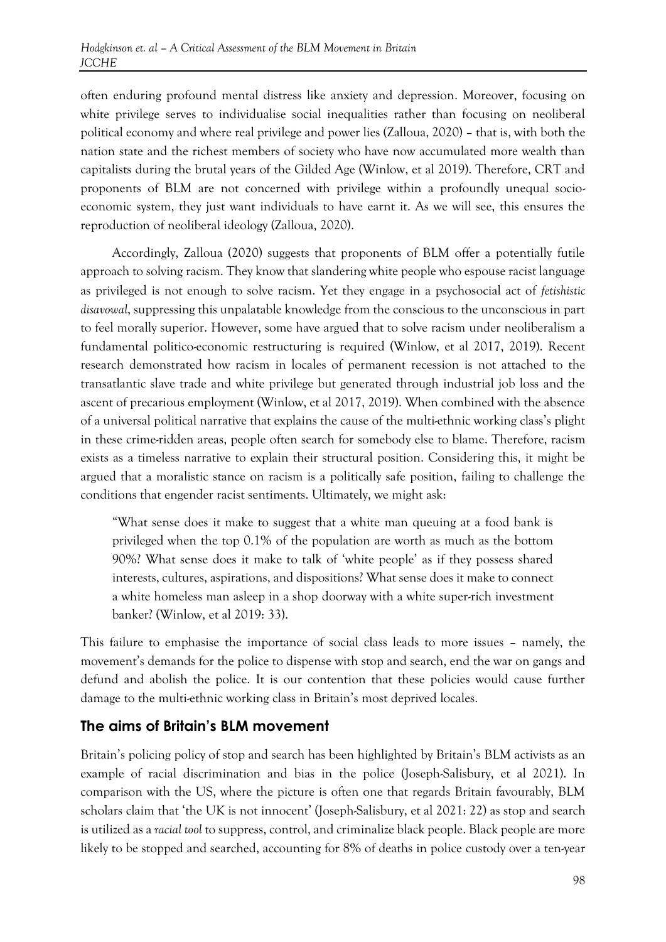often enduring profound mental distress like anxiety and depression. Moreover, focusing on white privilege serves to individualise social inequalities rather than focusing on neoliberal political economy and where real privilege and power lies (Zalloua, 2020) – that is, with both the nation state and the richest members of society who have now accumulated more wealth than capitalists during the brutal years of the Gilded Age (Winlow, et al 2019). Therefore, CRT and proponents of BLM are not concerned with privilege within a profoundly unequal socioeconomic system, they just want individuals to have earnt it. As we will see, this ensures the reproduction of neoliberal ideology (Zalloua, 2020).

Accordingly, Zalloua (2020) suggests that proponents of BLM offer a potentially futile approach to solving racism. They know that slandering white people who espouse racist language as privileged is not enough to solve racism. Yet they engage in a psychosocial act of *fetishistic disavowal*, suppressing this unpalatable knowledge from the conscious to the unconscious in part to feel morally superior. However, some have argued that to solve racism under neoliberalism a fundamental politico-economic restructuring is required (Winlow, et al 2017, 2019). Recent research demonstrated how racism in locales of permanent recession is not attached to the transatlantic slave trade and white privilege but generated through industrial job loss and the ascent of precarious employment (Winlow, et al 2017, 2019). When combined with the absence of a universal political narrative that explains the cause of the multi-ethnic working class's plight in these crime-ridden areas, people often search for somebody else to blame. Therefore, racism exists as a timeless narrative to explain their structural position. Considering this, it might be argued that a moralistic stance on racism is a politically safe position, failing to challenge the conditions that engender racist sentiments. Ultimately, we might ask:

"What sense does it make to suggest that a white man queuing at a food bank is privileged when the top 0.1% of the population are worth as much as the bottom 90%? What sense does it make to talk of 'white people' as if they possess shared interests, cultures, aspirations, and dispositions? What sense does it make to connect a white homeless man asleep in a shop doorway with a white super-rich investment banker? (Winlow, et al 2019: 33).

This failure to emphasise the importance of social class leads to more issues – namely, the movement's demands for the police to dispense with stop and search, end the war on gangs and defund and abolish the police. It is our contention that these policies would cause further damage to the multi-ethnic working class in Britain's most deprived locales.

#### **The aims of Britain's BLM movement**

Britain's policing policy of stop and search has been highlighted by Britain's BLM activists as an example of racial discrimination and bias in the police (Joseph-Salisbury, et al 2021). In comparison with the US, where the picture is often one that regards Britain favourably, BLM scholars claim that 'the UK is not innocent' (Joseph-Salisbury, et al 2021: 22) as stop and search is utilized as a *racial tool* to suppress, control, and criminalize black people. Black people are more likely to be stopped and searched, accounting for 8% of deaths in police custody over a ten-year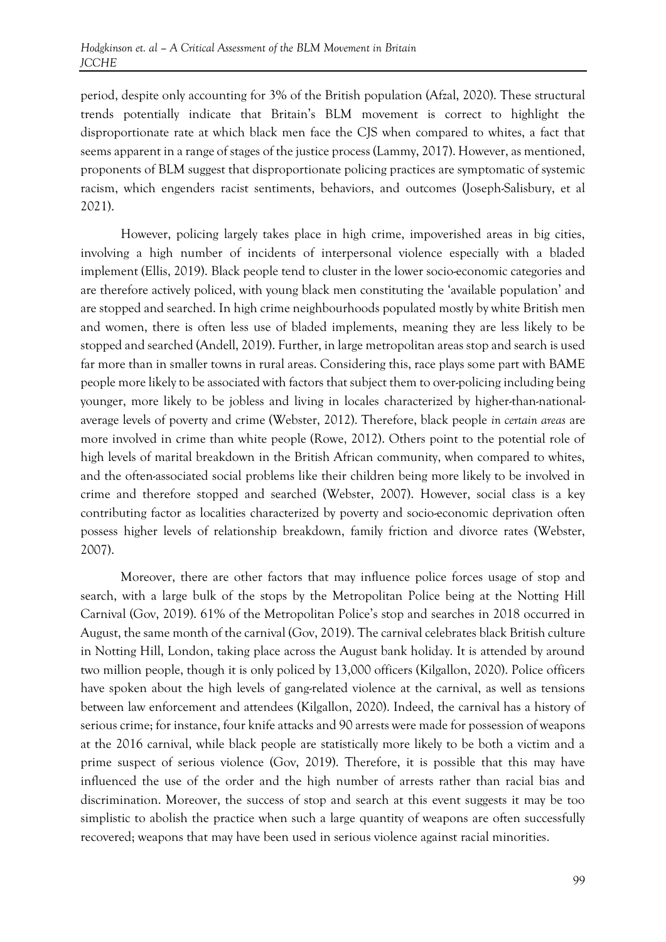period, despite only accounting for 3% of the British population (Afzal, 2020). These structural trends potentially indicate that Britain's BLM movement is correct to highlight the disproportionate rate at which black men face the CJS when compared to whites, a fact that seems apparent in a range of stages of the justice process (Lammy, 2017). However, as mentioned, proponents of BLM suggest that disproportionate policing practices are symptomatic of systemic racism, which engenders racist sentiments, behaviors, and outcomes (Joseph-Salisbury, et al 2021).

However, policing largely takes place in high crime, impoverished areas in big cities, involving a high number of incidents of interpersonal violence especially with a bladed implement (Ellis, 2019). Black people tend to cluster in the lower socio-economic categories and are therefore actively policed, with young black men constituting the 'available population' and are stopped and searched. In high crime neighbourhoods populated mostly by white British men and women, there is often less use of bladed implements, meaning they are less likely to be stopped and searched (Andell, 2019). Further, in large metropolitan areas stop and search is used far more than in smaller towns in rural areas. Considering this, race plays some part with BAME people more likely to be associated with factors that subject them to over-policing including being younger, more likely to be jobless and living in locales characterized by higher-than-nationalaverage levels of poverty and crime (Webster, 2012). Therefore, black people *in certain areas* are more involved in crime than white people (Rowe, 2012). Others point to the potential role of high levels of marital breakdown in the British African community, when compared to whites, and the often-associated social problems like their children being more likely to be involved in crime and therefore stopped and searched (Webster, 2007). However, social class is a key contributing factor as localities characterized by poverty and socio-economic deprivation often possess higher levels of relationship breakdown, family friction and divorce rates (Webster, 2007).

Moreover, there are other factors that may influence police forces usage of stop and search, with a large bulk of the stops by the Metropolitan Police being at the Notting Hill Carnival (Gov, 2019). 61% of the Metropolitan Police's stop and searches in 2018 occurred in August, the same month of the carnival (Gov, 2019). The carnival celebrates black British culture in Notting Hill, London, taking place across the August bank holiday. It is attended by around two million people, though it is only policed by 13,000 officers (Kilgallon, 2020). Police officers have spoken about the high levels of gang-related violence at the carnival, as well as tensions between law enforcement and attendees (Kilgallon, 2020). Indeed, the carnival has a history of serious crime; for instance, four knife attacks and 90 arrests were made for possession of weapons at the 2016 carnival, while black people are statistically more likely to be both a victim and a prime suspect of serious violence (Gov, 2019). Therefore, it is possible that this may have influenced the use of the order and the high number of arrests rather than racial bias and discrimination. Moreover, the success of stop and search at this event suggests it may be too simplistic to abolish the practice when such a large quantity of weapons are often successfully recovered; weapons that may have been used in serious violence against racial minorities.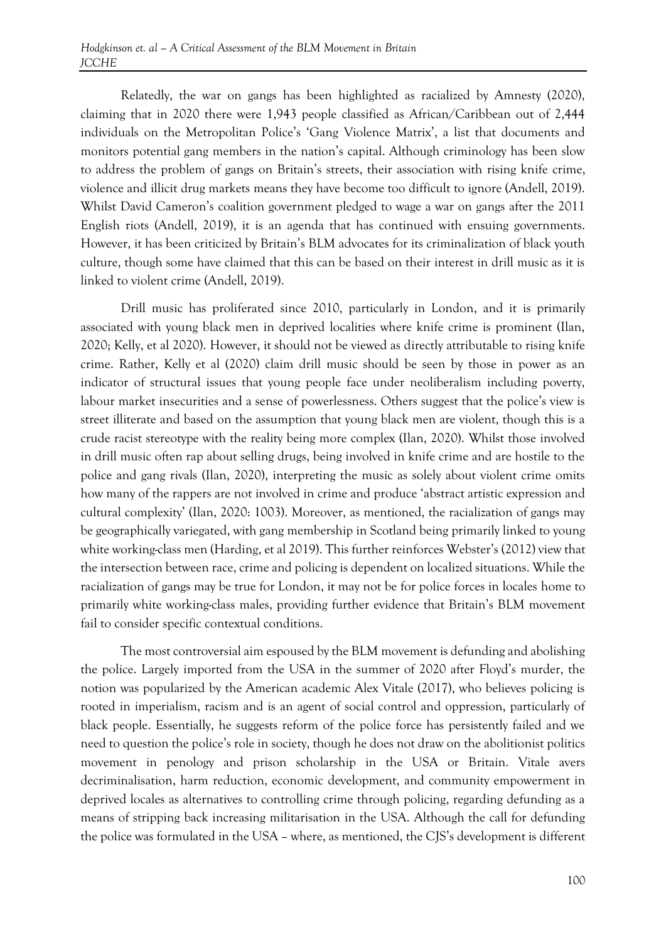Relatedly, the war on gangs has been highlighted as racialized by Amnesty (2020), claiming that in 2020 there were 1,943 people classified as African/Caribbean out of 2,444 individuals on the Metropolitan Police's 'Gang Violence Matrix', a list that documents and monitors potential gang members in the nation's capital. Although criminology has been slow to address the problem of gangs on Britain's streets, their association with rising knife crime, violence and illicit drug markets means they have become too difficult to ignore (Andell, 2019). Whilst David Cameron's coalition government pledged to wage a war on gangs after the 2011 English riots (Andell, 2019), it is an agenda that has continued with ensuing governments. However, it has been criticized by Britain's BLM advocates for its criminalization of black youth culture, though some have claimed that this can be based on their interest in drill music as it is linked to violent crime (Andell, 2019).

Drill music has proliferated since 2010, particularly in London, and it is primarily associated with young black men in deprived localities where knife crime is prominent (Ilan, 2020; Kelly, et al 2020). However, it should not be viewed as directly attributable to rising knife crime. Rather, Kelly et al (2020) claim drill music should be seen by those in power as an indicator of structural issues that young people face under neoliberalism including poverty, labour market insecurities and a sense of powerlessness. Others suggest that the police's view is street illiterate and based on the assumption that young black men are violent, though this is a crude racist stereotype with the reality being more complex (Ilan, 2020). Whilst those involved in drill music often rap about selling drugs, being involved in knife crime and are hostile to the police and gang rivals (Ilan, 2020), interpreting the music as solely about violent crime omits how many of the rappers are not involved in crime and produce 'abstract artistic expression and cultural complexity' (Ilan, 2020: 1003). Moreover, as mentioned, the racialization of gangs may be geographically variegated, with gang membership in Scotland being primarily linked to young white working-class men (Harding, et al 2019). This further reinforces Webster's (2012) view that the intersection between race, crime and policing is dependent on localized situations. While the racialization of gangs may be true for London, it may not be for police forces in locales home to primarily white working-class males, providing further evidence that Britain's BLM movement fail to consider specific contextual conditions.

The most controversial aim espoused by the BLM movement is defunding and abolishing the police. Largely imported from the USA in the summer of 2020 after Floyd's murder, the notion was popularized by the American academic Alex Vitale (2017), who believes policing is rooted in imperialism, racism and is an agent of social control and oppression, particularly of black people. Essentially, he suggests reform of the police force has persistently failed and we need to question the police's role in society, though he does not draw on the abolitionist politics movement in penology and prison scholarship in the USA or Britain. Vitale avers decriminalisation, harm reduction, economic development, and community empowerment in deprived locales as alternatives to controlling crime through policing, regarding defunding as a means of stripping back increasing militarisation in the USA. Although the call for defunding the police was formulated in the USA – where, as mentioned, the CJS's development is different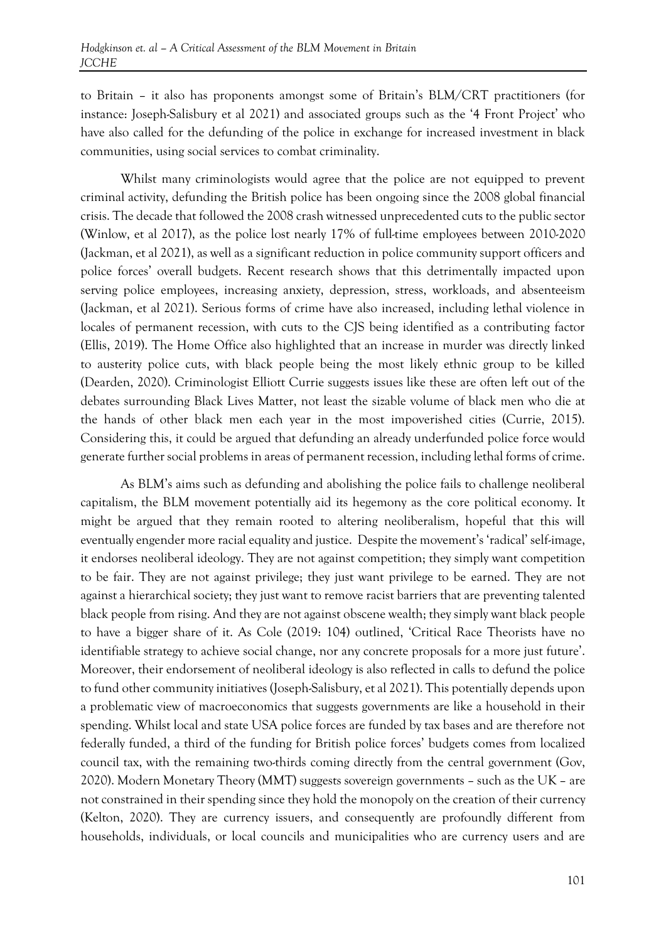to Britain – it also has proponents amongst some of Britain's BLM/CRT practitioners (for instance: Joseph-Salisbury et al 2021) and associated groups such as the '4 Front Project' who have also called for the defunding of the police in exchange for increased investment in black communities, using social services to combat criminality.

Whilst many criminologists would agree that the police are not equipped to prevent criminal activity, defunding the British police has been ongoing since the 2008 global financial crisis. The decade that followed the 2008 crash witnessed unprecedented cuts to the public sector (Winlow, et al 2017), as the police lost nearly 17% of full-time employees between 2010-2020 (Jackman, et al 2021), as well as a significant reduction in police community support officers and police forces' overall budgets. Recent research shows that this detrimentally impacted upon serving police employees, increasing anxiety, depression, stress, workloads, and absenteeism (Jackman, et al 2021). Serious forms of crime have also increased, including lethal violence in locales of permanent recession, with cuts to the CJS being identified as a contributing factor (Ellis, 2019). The Home Office also highlighted that an increase in murder was directly linked to austerity police cuts, with black people being the most likely ethnic group to be killed (Dearden, 2020). Criminologist Elliott Currie suggests issues like these are often left out of the debates surrounding Black Lives Matter, not least the sizable volume of black men who die at the hands of other black men each year in the most impoverished cities (Currie, 2015). Considering this, it could be argued that defunding an already underfunded police force would generate further social problems in areas of permanent recession, including lethal forms of crime.

As BLM's aims such as defunding and abolishing the police fails to challenge neoliberal capitalism, the BLM movement potentially aid its hegemony as the core political economy. It might be argued that they remain rooted to altering neoliberalism, hopeful that this will eventually engender more racial equality and justice. Despite the movement's 'radical' self-image, it endorses neoliberal ideology. They are not against competition; they simply want competition to be fair. They are not against privilege; they just want privilege to be earned. They are not against a hierarchical society; they just want to remove racist barriers that are preventing talented black people from rising. And they are not against obscene wealth; they simply want black people to have a bigger share of it. As Cole (2019: 104) outlined, 'Critical Race Theorists have no identifiable strategy to achieve social change, nor any concrete proposals for a more just future'. Moreover, their endorsement of neoliberal ideology is also reflected in calls to defund the police to fund other community initiatives (Joseph-Salisbury, et al 2021). This potentially depends upon a problematic view of macroeconomics that suggests governments are like a household in their spending. Whilst local and state USA police forces are funded by tax bases and are therefore not federally funded, a third of the funding for British police forces' budgets comes from localized council tax, with the remaining two-thirds coming directly from the central government (Gov, 2020). Modern Monetary Theory (MMT) suggests sovereign governments – such as the UK – are not constrained in their spending since they hold the monopoly on the creation of their currency (Kelton, 2020). They are currency issuers, and consequently are profoundly different from households, individuals, or local councils and municipalities who are currency users and are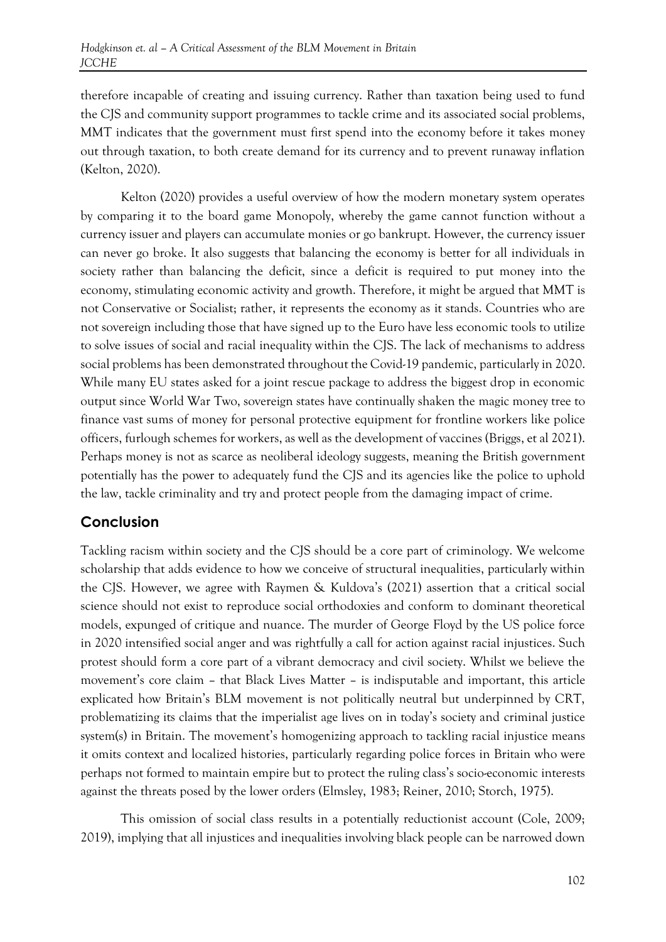therefore incapable of creating and issuing currency. Rather than taxation being used to fund the CJS and community support programmes to tackle crime and its associated social problems, MMT indicates that the government must first spend into the economy before it takes money out through taxation, to both create demand for its currency and to prevent runaway inflation (Kelton, 2020).

Kelton (2020) provides a useful overview of how the modern monetary system operates by comparing it to the board game Monopoly, whereby the game cannot function without a currency issuer and players can accumulate monies or go bankrupt. However, the currency issuer can never go broke. It also suggests that balancing the economy is better for all individuals in society rather than balancing the deficit, since a deficit is required to put money into the economy, stimulating economic activity and growth. Therefore, it might be argued that MMT is not Conservative or Socialist; rather, it represents the economy as it stands. Countries who are not sovereign including those that have signed up to the Euro have less economic tools to utilize to solve issues of social and racial inequality within the CJS. The lack of mechanisms to address social problems has been demonstrated throughout the Covid-19 pandemic, particularly in 2020. While many EU states asked for a joint rescue package to address the biggest drop in economic output since World War Two, sovereign states have continually shaken the magic money tree to finance vast sums of money for personal protective equipment for frontline workers like police officers, furlough schemes for workers, as well as the development of vaccines (Briggs, et al 2021). Perhaps money is not as scarce as neoliberal ideology suggests, meaning the British government potentially has the power to adequately fund the CJS and its agencies like the police to uphold the law, tackle criminality and try and protect people from the damaging impact of crime.

#### **Conclusion**

Tackling racism within society and the CJS should be a core part of criminology. We welcome scholarship that adds evidence to how we conceive of structural inequalities, particularly within the CJS. However, we agree with Raymen & Kuldova's (2021) assertion that a critical social science should not exist to reproduce social orthodoxies and conform to dominant theoretical models, expunged of critique and nuance. The murder of George Floyd by the US police force in 2020 intensified social anger and was rightfully a call for action against racial injustices. Such protest should form a core part of a vibrant democracy and civil society. Whilst we believe the movement's core claim – that Black Lives Matter – is indisputable and important, this article explicated how Britain's BLM movement is not politically neutral but underpinned by CRT, problematizing its claims that the imperialist age lives on in today's society and criminal justice system(s) in Britain. The movement's homogenizing approach to tackling racial injustice means it omits context and localized histories, particularly regarding police forces in Britain who were perhaps not formed to maintain empire but to protect the ruling class's socio-economic interests against the threats posed by the lower orders (Elmsley, 1983; Reiner, 2010; Storch, 1975).

This omission of social class results in a potentially reductionist account (Cole, 2009; 2019), implying that all injustices and inequalities involving black people can be narrowed down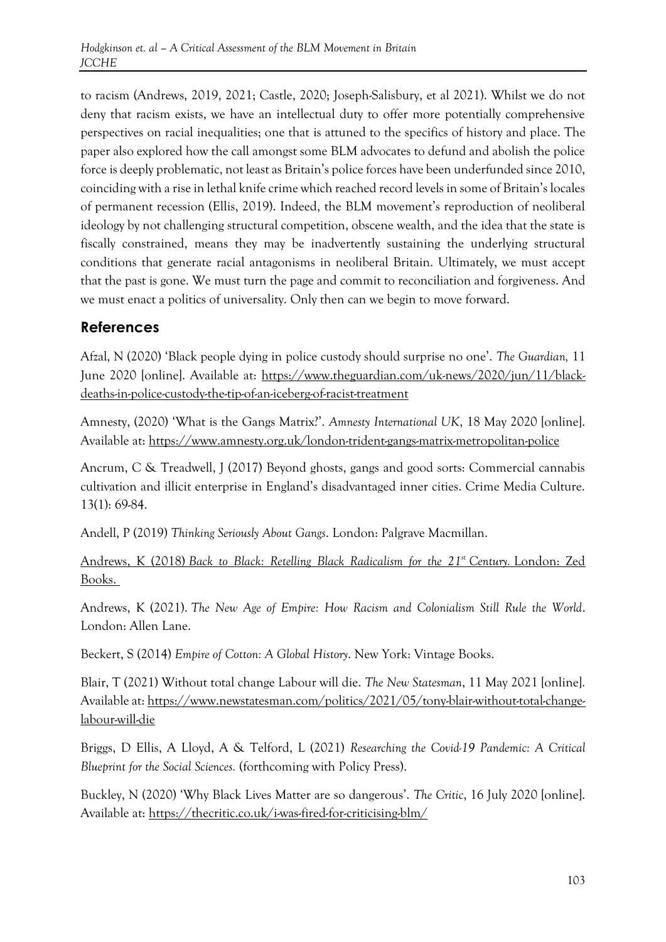to racism (Andrews, 2019, 2021; Castle, 2020; Joseph-Salisbury, et al 2021). Whilst we do not deny that racism exists, we have an intellectual duty to offer more potentially comprehensive perspectives on racial inequalities; one that is attuned to the specifics of history and place. The paper also explored how the call amongst some BLM advocates to defund and abolish the police force is deeply problematic, not least as Britain's police forces have been underfunded since 2010, coinciding with a rise in lethal knife crime which reached record levels in some of Britain's locales of permanent recession (Ellis, 2019). Indeed, the BLM movement's reproduction of neoliberal ideology by not challenging structural competition, obscene wealth, and the idea that the state is fiscally constrained, means they may be inadvertently sustaining the underlying structural conditions that generate racial antagonisms in neoliberal Britain. Ultimately, we must accept that the past is gone. We must turn the page and commit to reconciliation and forgiveness. And we must enact a politics of universality. Only then can we begin to move forward.

#### **References**

Afzal, N (2020) 'Black people dying in police custody should surprise no one'. *The Guardian,* 11 June 2020 [online]. Available at: [https://www.theguardian.com/uk-news/2020/jun/11/black](https://www.theguardian.com/uk-news/2020/jun/11/black-deaths-in-police-custody-the-tip-of-an-iceberg-of-racist-treatment)[deaths-in-police-custody-the-tip-of-an-iceberg-of-racist-treatment](https://www.theguardian.com/uk-news/2020/jun/11/black-deaths-in-police-custody-the-tip-of-an-iceberg-of-racist-treatment)

Amnesty, (2020) 'What is the Gangs Matrix?'. *Amnesty International UK*, 18 May 2020 [online]. Available at:<https://www.amnesty.org.uk/london-trident-gangs-matrix-metropolitan-police>

Ancrum, C & Treadwell, J (2017) Beyond ghosts, gangs and good sorts: Commercial cannabis cultivation and illicit enterprise in England's disadvantaged inner cities. Crime Media Culture. 13(1): 69-84.

Andell, P (2019) *Thinking Seriously About Gangs*. London: Palgrave Macmillan.

Andrews, K (2018) *[Back to Black: Retelling Black Radicalism for the 21](https://www.zedbooks.net/shop/book/back-to-black/forthcoming/)st Century.* London: Zed [Books.](https://www.zedbooks.net/shop/book/back-to-black/forthcoming/)

Andrews, K (2021). *The New Age of Empire: How Racism and Colonialism Still Rule the World*. London: Allen Lane.

Beckert, S (2014) *Empire of Cotton: A Global History*. New York: Vintage Books.

Blair, T (2021) Without total change Labour will die. *The New Statesman*, 11 May 2021 [online]. Available at: [https://www.newstatesman.com/politics/2021/05/tony-blair-without-total-change](https://www.newstatesman.com/politics/2021/05/tony-blair-without-total-change-labour-will-die)[labour-will-die](https://www.newstatesman.com/politics/2021/05/tony-blair-without-total-change-labour-will-die)

Briggs, D Ellis, A Lloyd, A & Telford, L (2021) *Researching the Covid-19 Pandemic: A Critical Blueprint for the Social Sciences.* (forthcoming with Policy Press).

Buckley, N (2020) 'Why Black Lives Matter are so dangerous'. *The Critic*, 16 July 2020 [online]. Available at:<https://thecritic.co.uk/i-was-fired-for-criticising-blm/>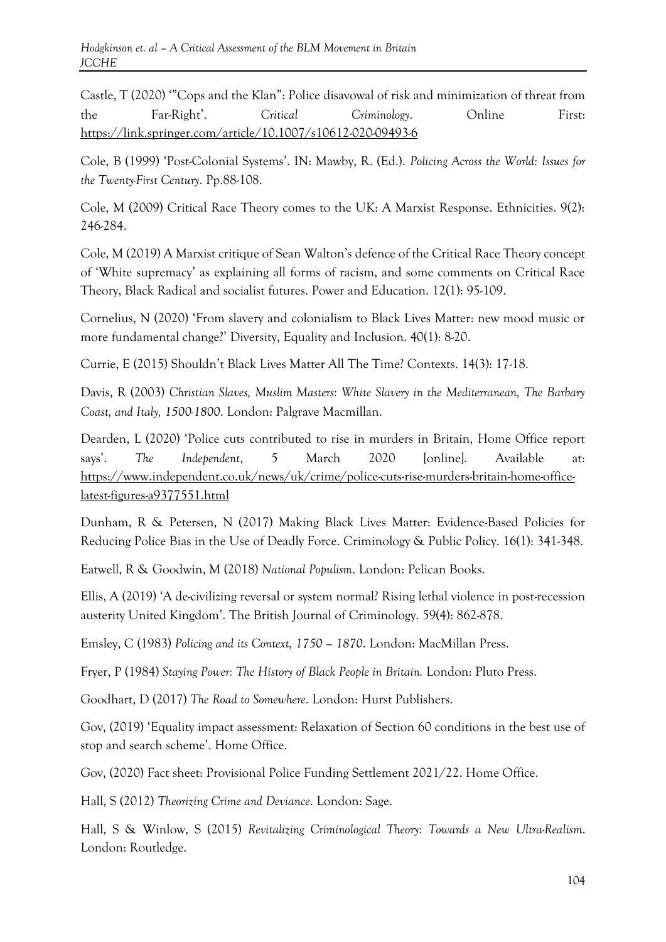Castle, T (2020) '"Cops and the Klan": Police disavowal of risk and minimization of threat from the Far-Right'. *Critical Criminology*. Online First: <https://link.springer.com/article/10.1007/s10612-020-09493-6>

Cole, B (1999) 'Post-Colonial Systems'. IN: Mawby, R. (Ed.). *Policing Across the World: Issues for the Twenty-First Century*. Pp.88-108.

Cole, M (2009) Critical Race Theory comes to the UK: A Marxist Response. Ethnicities. 9(2): 246-284.

Cole, M (2019) A Marxist critique of Sean Walton's defence of the Critical Race Theory concept of 'White supremacy' as explaining all forms of racism, and some comments on Critical Race Theory, Black Radical and socialist futures. Power and Education. 12(1): 95-109.

Cornelius, N (2020) 'From slavery and colonialism to Black Lives Matter: new mood music or more fundamental change?' Diversity, Equality and Inclusion. 40(1): 8-20.

Currie, E (2015) Shouldn't Black Lives Matter All The Time? Contexts. 14(3): 17-18.

Davis, R (2003) *Christian Slaves, Muslim Masters: White Slavery in the Mediterranean, The Barbary Coast, and Italy, 1500-1800*. London: Palgrave Macmillan.

Dearden, L (2020) 'Police cuts contributed to rise in murders in Britain, Home Office report says'. *The Independent*, 5 March 2020 [online]. Available at: [https://www.independent.co.uk/news/uk/crime/police-cuts-rise-murders-britain-home-office](https://www.independent.co.uk/news/uk/crime/police-cuts-rise-murders-britain-home-office-latest-figures-a9377551.html)[latest-figures-a9377551.html](https://www.independent.co.uk/news/uk/crime/police-cuts-rise-murders-britain-home-office-latest-figures-a9377551.html)

Dunham, R & Petersen, N (2017) Making Black Lives Matter: Evidence-Based Policies for Reducing Police Bias in the Use of Deadly Force. Criminology & Public Policy. 16(1): 341-348.

Eatwell, R & Goodwin, M (2018) *National Populism*. London: Pelican Books.

Ellis, A (2019) 'A de-civilizing reversal or system normal? Rising lethal violence in post-recession austerity United Kingdom'. The British Journal of Criminology. 59(4): 862-878.

Emsley, C (1983) *Policing and its Context, 1750 – 1870*. London: MacMillan Press.

Fryer, P (1984) *Staying Power: The History of Black People in Britain.* London: Pluto Press.

Goodhart, D (2017) *The Road to Somewhere*. London: Hurst Publishers.

Gov, (2019) 'Equality impact assessment: Relaxation of Section 60 conditions in the best use of stop and search scheme'. Home Office.

Gov, (2020) Fact sheet: Provisional Police Funding Settlement 2021/22. Home Office.

Hall, S (2012) *Theorizing Crime and Deviance*. London: Sage.

Hall, S & Winlow, S (2015) *Revitalizing Criminological Theory: Towards a New Ultra-Realism*. London: Routledge.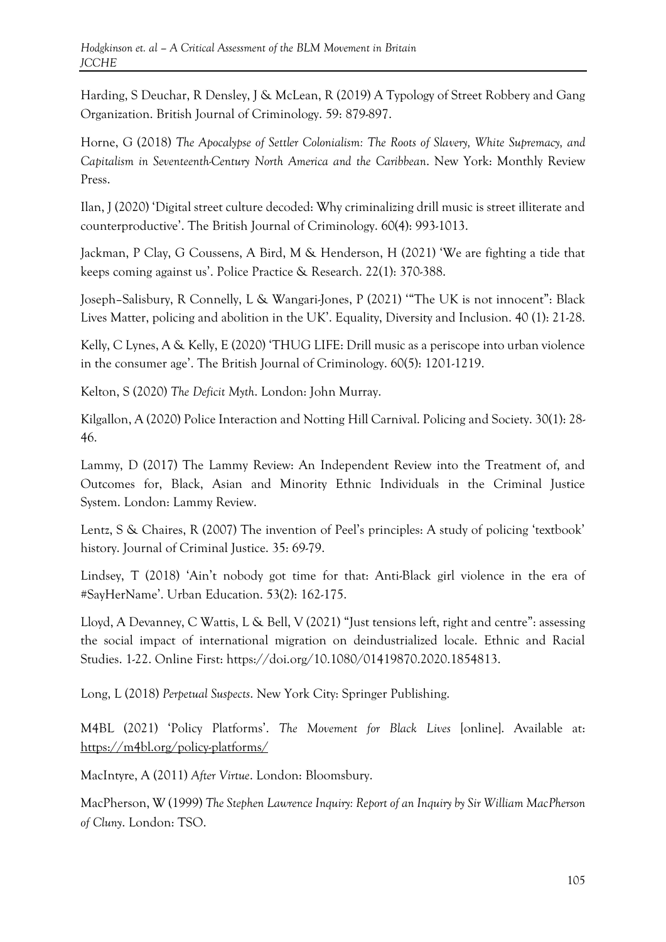Harding, S Deuchar, R Densley, J & McLean, R (2019) A Typology of Street Robbery and Gang Organization. British Journal of Criminology. 59: 879-897.

Horne, G (2018) *The Apocalypse of Settler Colonialism: The Roots of Slavery, White Supremacy, and Capitalism in Seventeenth-Century North America and the Caribbean*. New York: Monthly Review Press.

Ilan, J (2020) 'Digital street culture decoded: Why criminalizing drill music is street illiterate and counterproductive'. The British Journal of Criminology. 60(4): 993-1013.

Jackman, P Clay, G Coussens, A Bird, M & Henderson, H (2021) 'We are fighting a tide that keeps coming against us'. Police Practice & Research. 22(1): 370-388.

Joseph–Salisbury, R Connelly, L & Wangari-Jones, P (2021) '"The UK is not innocent": Black Lives Matter, policing and abolition in the UK'. Equality, Diversity and Inclusion. 40 (1): 21-28.

Kelly, C Lynes, A & Kelly, E (2020) 'THUG LIFE: Drill music as a periscope into urban violence in the consumer age'. The British Journal of Criminology. 60(5): 1201-1219.

Kelton, S (2020) *The Deficit Myth*. London: John Murray.

Kilgallon, A (2020) Police Interaction and Notting Hill Carnival. Policing and Society. 30(1): 28- 46.

Lammy, D (2017) The Lammy Review: An Independent Review into the Treatment of, and Outcomes for, Black, Asian and Minority Ethnic Individuals in the Criminal Justice System. London: Lammy Review.

Lentz, S & Chaires, R (2007) The invention of Peel's principles: A study of policing 'textbook' history. Journal of Criminal Justice. 35: 69-79.

Lindsey, T (2018) 'Ain't nobody got time for that: Anti-Black girl violence in the era of #SayHerName'. Urban Education. 53(2): 162-175.

Lloyd, A Devanney, C Wattis, L & Bell, V (2021) "Just tensions left, right and centre": assessing the social impact of international migration on deindustrialized locale. Ethnic and Racial Studies. 1-22. Online First: [https://doi.org/10.1080/01419870.2020.1854813.](https://doi.org/10.1080/01419870.2020.1854813)

Long, L (2018) *Perpetual Suspects*. New York City: Springer Publishing.

M4BL (2021) 'Policy Platforms'. *The Movement for Black Lives* [online]. Available at: <https://m4bl.org/policy-platforms/>

MacIntyre, A (2011) *After Virtue*. London: Bloomsbury.

MacPherson, W (1999) *The Stephen Lawrence Inquiry: Report of an Inquiry by Sir William MacPherson of Cluny*. London: TSO.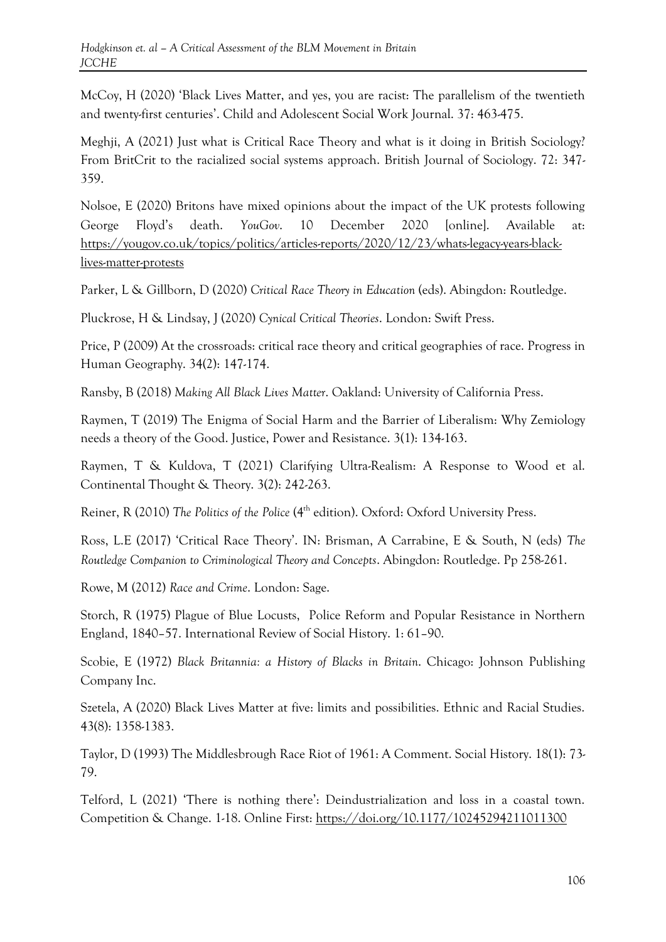McCoy, H (2020) 'Black Lives Matter, and yes, you are racist: The parallelism of the twentieth and twenty-first centuries'. Child and Adolescent Social Work Journal. 37: 463-475.

Meghji, A (2021) Just what is Critical Race Theory and what is it doing in British Sociology? From BritCrit to the racialized social systems approach. British Journal of Sociology. 72: 347- 359.

Nolsoe, E (2020) Britons have mixed opinions about the impact of the UK protests following George Floyd's death. *YouGov*. 10 December 2020 [online]. Available at: [https://yougov.co.uk/topics/politics/articles-reports/2020/12/23/whats-legacy-years-black](https://yougov.co.uk/topics/politics/articles-reports/2020/12/23/whats-legacy-years-black-lives-matter-protests)[lives-matter-protests](https://yougov.co.uk/topics/politics/articles-reports/2020/12/23/whats-legacy-years-black-lives-matter-protests)

Parker, L & Gillborn, D (2020) *Critical Race Theory in Education* (eds). Abingdon: Routledge.

Pluckrose, H & Lindsay, J (2020) *Cynical Critical Theories*. London: Swift Press.

Price, P (2009) At the crossroads: critical race theory and critical geographies of race. Progress in Human Geography. 34(2): 147-174.

Ransby, B (2018) *Making All Black Lives Matter*. Oakland: University of California Press.

Raymen, T (2019) The Enigma of Social Harm and the Barrier of Liberalism: Why Zemiology needs a theory of the Good. Justice, Power and Resistance. 3(1): 134-163.

Raymen, T & Kuldova, T (2021) Clarifying Ultra-Realism: A Response to Wood et al. Continental Thought & Theory. 3(2): 242-263.

Reiner, R (2010) *The Politics of the Police* (4<sup>th</sup> edition). Oxford: Oxford University Press.

Ross, L.E (2017) 'Critical Race Theory'. IN: Brisman, A Carrabine, E & South, N (eds) *The Routledge Companion to Criminological Theory and Concepts*. Abingdon: Routledge. Pp 258-261.

Rowe, M (2012) *Race and Crime*. London: Sage.

Storch, R (1975) Plague of Blue Locusts, Police Reform and Popular Resistance in Northern England, 1840–57. International Review of Social History. 1: 61–90.

Scobie, E (1972) *Black Britannia: a History of Blacks in Britain*. Chicago: Johnson Publishing Company Inc.

Szetela, A (2020) Black Lives Matter at five: limits and possibilities. Ethnic and Racial Studies. 43(8): 1358-1383.

Taylor, D (1993) The Middlesbrough Race Riot of 1961: A Comment. Social History. 18(1): 73- 79.

Telford, L (2021) 'There is nothing there': Deindustrialization and loss in a coastal town. Competition & Change. 1-18. Online First: [https://doi.org/10.1177/10245294211011300](https://doi.org/10.1177%2F10245294211011300)